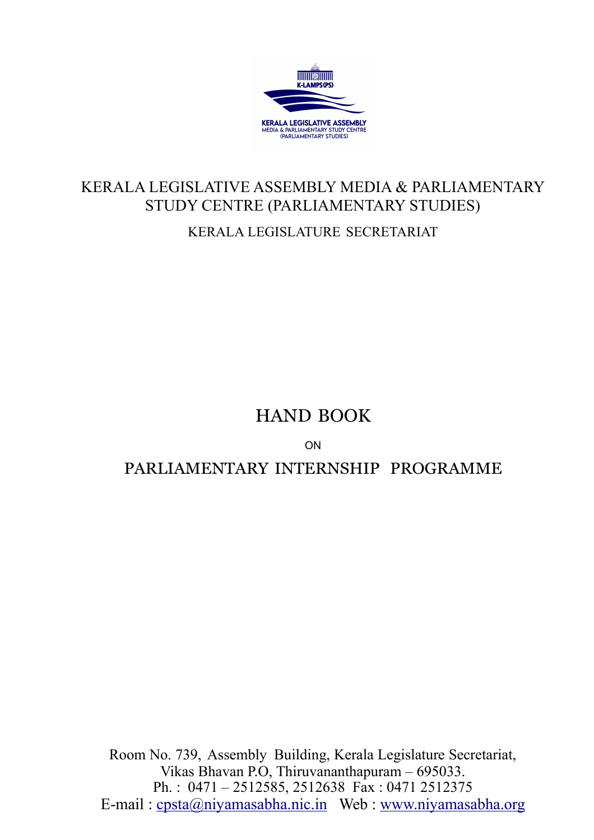

# KERALA LEGISLATIVE ASSEMBLY MEDIA & PARLIAMENTARY STUDY CENTRE (PARLIAMENTARY STUDIES)

KERALA LEGISLATURE SECRETARIAT

## HAND BOOK

ON

PARLIAMENTARY INTERNSHIP PROGRAMME

Room No. 739, Assembly Building, Kerala Legislature Secretariat, Vikas Bhavan P.O, Thiruvananthapuram – 695033. Ph. : 0471 – 2512585, 2512638 Fax : 0471 2512375 E-mail : [cpsta@niyamasabha.nic.in](mailto:cpsta@niyamasabha.nic.in) Web : [www.niyamasabha.org](http://www.niyamasabha.org/)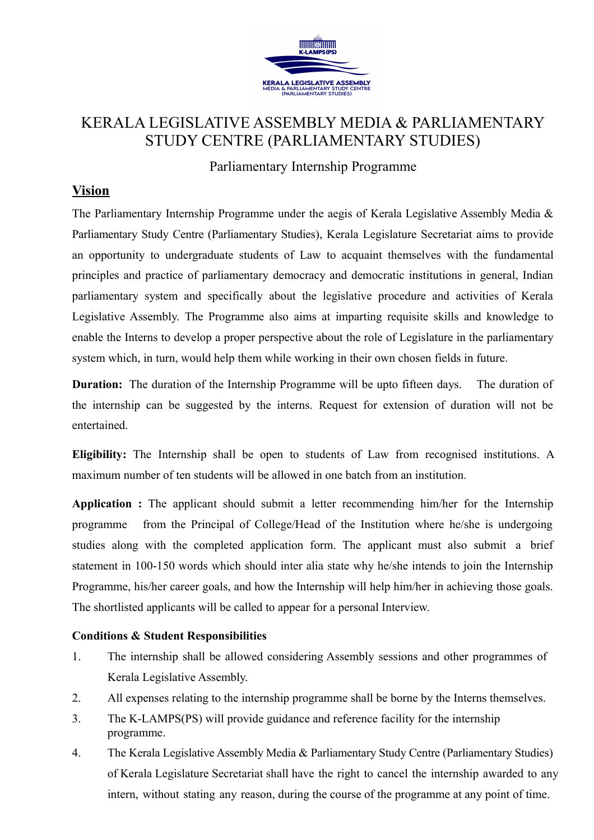

### KERALA LEGISLATIVE ASSEMBLY MEDIA & PARLIAMENTARY STUDY CENTRE (PARLIAMENTARY STUDIES)

Parliamentary Internship Programme

#### **Vision**

The Parliamentary Internship Programme under the aegis of Kerala Legislative Assembly Media & Parliamentary Study Centre (Parliamentary Studies), Kerala Legislature Secretariat aims to provide an opportunity to undergraduate students of Law to acquaint themselves with the fundamental principles and practice of parliamentary democracy and democratic institutions in general, Indian parliamentary system and specifically about the legislative procedure and activities of Kerala Legislative Assembly. The Programme also aims at imparting requisite skills and knowledge to enable the Interns to develop a proper perspective about the role of Legislature in the parliamentary system which, in turn, would help them while working in their own chosen fields in future.

**Duration:** The duration of the Internship Programme will be upto fifteen days. The duration of the internship can be suggested by the interns. Request for extension of duration will not be entertained.

**Eligibility:** The Internship shall be open to students of Law from recognised institutions. A maximum number of ten students will be allowed in one batch from an institution.

**Application :** The applicant should submit a letter recommending him/her for the Internship programme from the Principal of College/Head of the Institution where he/she is undergoing studies along with the completed application form. The applicant must also submit a brief statement in 100-150 words which should inter alia state why he/she intends to join the Internship Programme, his/her career goals, and how the Internship will help him/her in achieving those goals. The shortlisted applicants will be called to appear for a personal Interview.

#### **Conditions & Student Responsibilities**

- 1. The internship shall be allowed considering Assembly sessions and other programmes of Kerala Legislative Assembly.
- 2. All expenses relating to the internship programme shall be borne by the Interns themselves.
- 3. The K-LAMPS(PS) will provide guidance and reference facility for the internship programme.
- 4. The Kerala Legislative Assembly Media & Parliamentary Study Centre (Parliamentary Studies) of Kerala Legislature Secretariat shall have the right to cancel the internship awarded to any intern, without stating any reason, during the course of the programme at any point of time.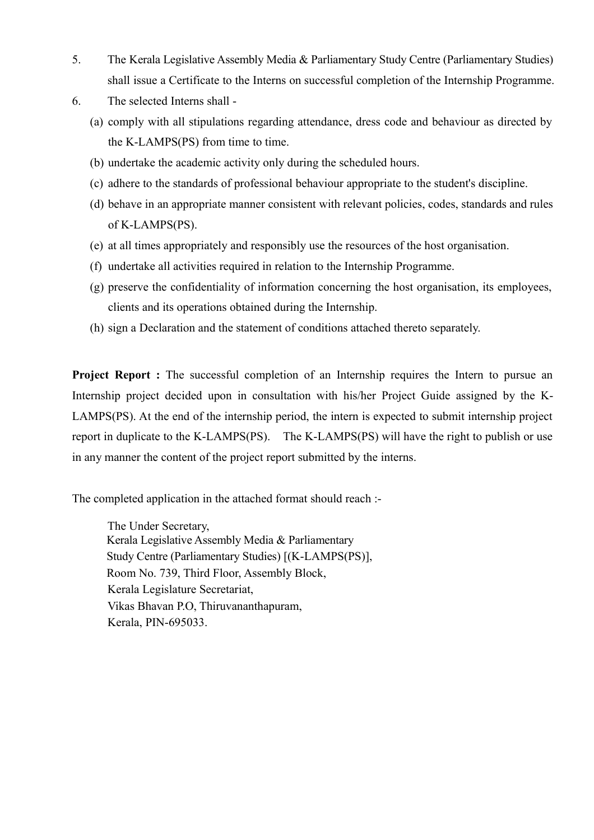- 5. The Kerala Legislative Assembly Media & Parliamentary Study Centre (Parliamentary Studies) shall issue a Certificate to the Interns on successful completion of the Internship Programme.
- 6. The selected Interns shall
	- (a) comply with all stipulations regarding attendance, dress code and behaviour as directed by the K-LAMPS(PS) from time to time.
	- (b) undertake the academic activity only during the scheduled hours.
	- (c) adhere to the standards of professional behaviour appropriate to the student's discipline.
	- (d) behave in an appropriate manner consistent with relevant policies, codes, standards and rules of K-LAMPS(PS).
	- (e) at all times appropriately and responsibly use the resources of the host organisation.
	- (f) undertake all activities required in relation to the Internship Programme.
	- (g) preserve the confidentiality of information concerning the host organisation, its employees, clients and its operations obtained during the Internship.
	- (h) sign a Declaration and the statement of conditions attached thereto separately.

**Project Report :** The successful completion of an Internship requires the Intern to pursue an Internship project decided upon in consultation with his/her Project Guide assigned by the K-LAMPS(PS). At the end of the internship period, the intern is expected to submit internship project report in duplicate to the K-LAMPS(PS). The K-LAMPS(PS) will have the right to publish or use in any manner the content of the project report submitted by the interns.

The completed application in the attached format should reach :-

The Under Secretary, Kerala Legislative Assembly Media & Parliamentary Study Centre (Parliamentary Studies) [(K-LAMPS(PS)], Room No. 739, Third Floor, Assembly Block, Kerala Legislature Secretariat, Vikas Bhavan P.O, Thiruvananthapuram, Kerala, PIN-695033.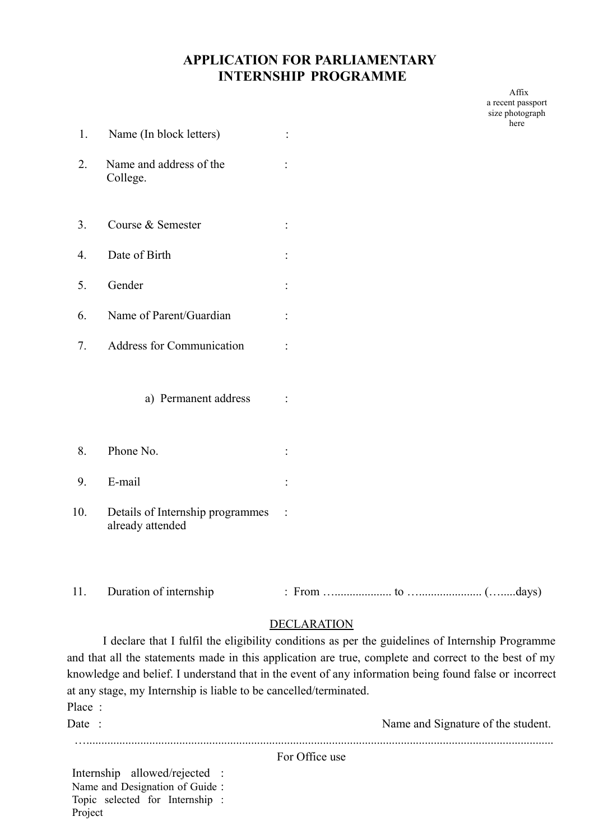#### **APPLICATION FOR PARLIAMENTARY INTERNSHIP PROGRAMME**

Affix a recent passport size photograph here

| 1.  | Name (In block letters)                              |                      |  |  |  |
|-----|------------------------------------------------------|----------------------|--|--|--|
| 2.  | Name and address of the<br>College.                  |                      |  |  |  |
| 3.  | Course & Semester                                    |                      |  |  |  |
| 4.  | Date of Birth<br>$\ddot{\cdot}$                      |                      |  |  |  |
| 5.  | Gender                                               | $\ddot{\phantom{a}}$ |  |  |  |
| 6.  | Name of Parent/Guardian                              |                      |  |  |  |
| 7.  | <b>Address for Communication</b>                     |                      |  |  |  |
|     | a) Permanent address                                 |                      |  |  |  |
| 8.  | Phone No.                                            |                      |  |  |  |
| 9.  | E-mail                                               | $\ddot{\cdot}$       |  |  |  |
| 10. | Details of Internship programmes<br>already attended |                      |  |  |  |

11. Duration of internship : From …................... to …..................... (….....days)

#### DECLARATION

I declare that I fulfil the eligibility conditions as per the guidelines of Internship Programme and that all the statements made in this application are true, complete and correct to the best of my knowledge and belief. I understand that in the event of any information being found false or incorrect at any stage, my Internship is liable to be cancelled/terminated. Place ·

| Date : |                               |  | Name and Signature of the student. |  |
|--------|-------------------------------|--|------------------------------------|--|
|        |                               |  | For Office use                     |  |
|        | Internship allowed/rejected · |  |                                    |  |

Internship allowed/rejected : Name and Designation of Guide : Topic selected for Internship : Project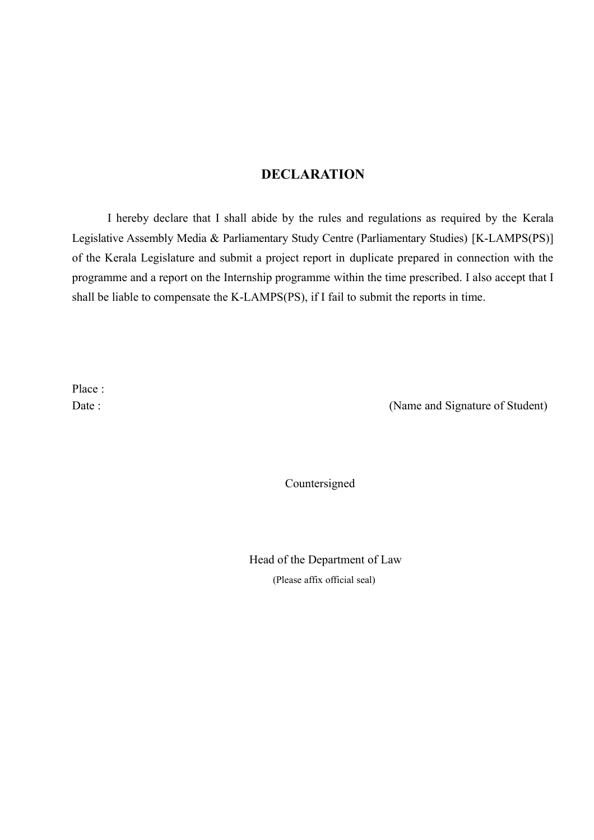#### **DECLARATION**

I hereby declare that I shall abide by the rules and regulations as required by the Kerala Legislative Assembly Media & Parliamentary Study Centre (Parliamentary Studies) [K-LAMPS(PS)] of the Kerala Legislature and submit a project report in duplicate prepared in connection with the programme and a report on the Internship programme within the time prescribed. I also accept that I shall be liable to compensate the K-LAMPS(PS), if I fail to submit the reports in time.

Place ·

Date : (Name and Signature of Student)

Countersigned

Head of the Department of Law (Please affix official seal)